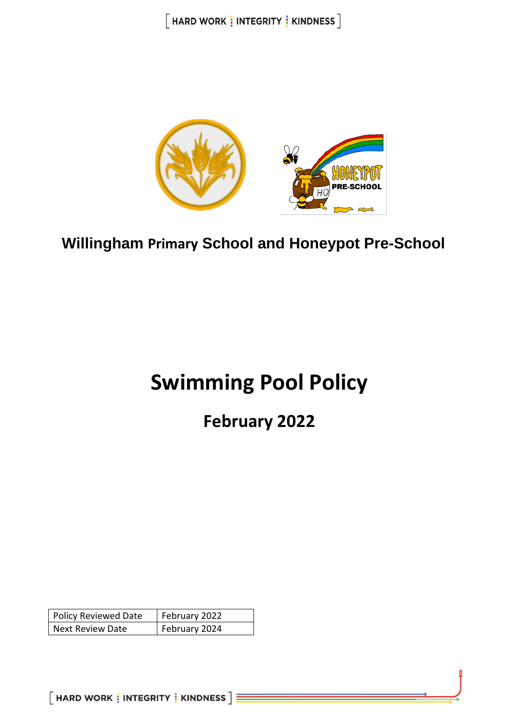$[$  HARD WORK  $\frac{1}{2}$  INTEGRITY  $\frac{1}{2}$  KINDNESS  $]$ 



**Willingham Primary School and Honeypot Pre-School**

# **Swimming Pool Policy**

# **February 2022**

| <b>Policy Reviewed Date</b> | February 2022 |
|-----------------------------|---------------|
| <b>Next Review Date</b>     | February 2024 |

 $[$  HARD WORK  $\vdots$  INTEGRITY  $\vdots$  KINDNESS  $]\equiv$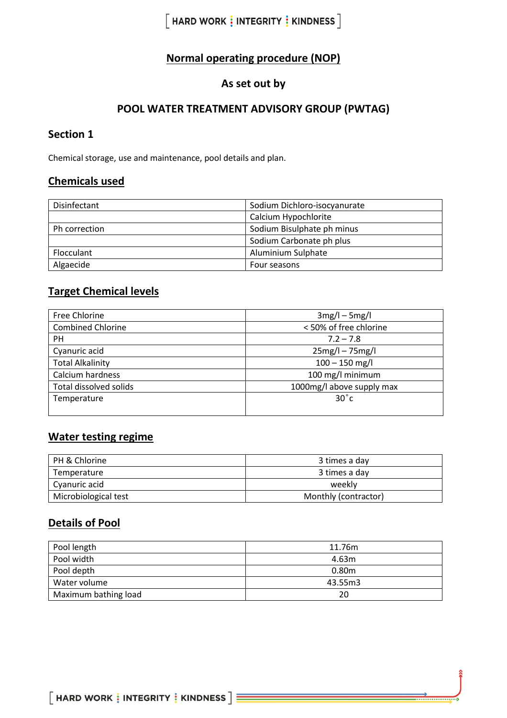# $[$  HARD WORK  $\frac{1}{3}$  INTEGRITY  $\frac{1}{3}$  KINDNESS  $]$

# **Normal operating procedure (NOP)**

## **As set out by**

#### **POOL WATER TREATMENT ADVISORY GROUP (PWTAG)**

#### **Section 1**

Chemical storage, use and maintenance, pool details and plan.

#### **Chemicals used**

| Disinfectant  | Sodium Dichloro-isocyanurate |
|---------------|------------------------------|
|               | Calcium Hypochlorite         |
| Ph correction | Sodium Bisulphate ph minus   |
|               | Sodium Carbonate ph plus     |
| Flocculant    | Aluminium Sulphate           |
| Algaecide     | Four seasons                 |

## **Target Chemical levels**

| Free Chlorine                 | $3mg/l - 5mg/l$           |
|-------------------------------|---------------------------|
| <b>Combined Chlorine</b>      | < 50% of free chlorine    |
| PH.                           | $7.2 - 7.8$               |
| Cyanuric acid                 | $25mg/l - 75mg/l$         |
| <b>Total Alkalinity</b>       | $100 - 150$ mg/l          |
| Calcium hardness              | 100 mg/l minimum          |
| <b>Total dissolved solids</b> | 1000mg/l above supply max |
| Temperature                   | $30^{\circ}$ c            |
|                               |                           |

# **Water testing regime**

| PH & Chlorine        | 3 times a day        |
|----------------------|----------------------|
| Temperature          | 3 times a day        |
| Cyanuric acid        | weekly               |
| Microbiological test | Monthly (contractor) |

# **Details of Pool**

| Pool length          | 11.76m  |
|----------------------|---------|
| Pool width           | 4.63m   |
| Pool depth           | 0.80m   |
| Water volume         | 43.55m3 |
| Maximum bathing load | 20      |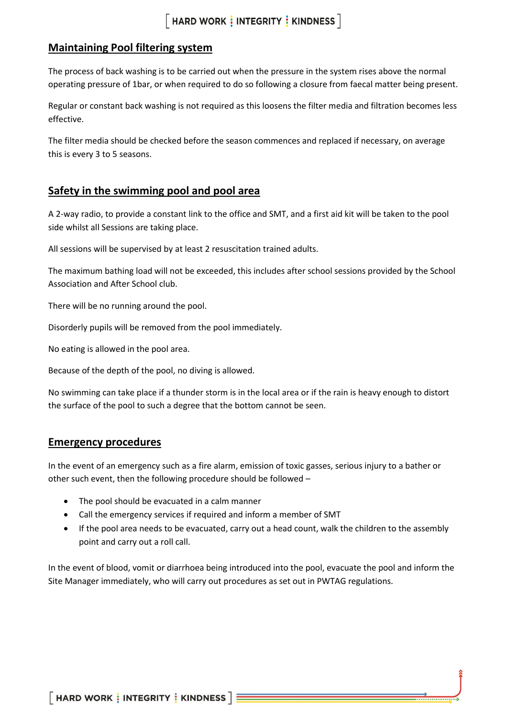#### **Maintaining Pool filtering system**

The process of back washing is to be carried out when the pressure in the system rises above the normal operating pressure of 1bar, or when required to do so following a closure from faecal matter being present.

Regular or constant back washing is not required as this loosens the filter media and filtration becomes less effective.

The filter media should be checked before the season commences and replaced if necessary, on average this is every 3 to 5 seasons.

#### **Safety in the swimming pool and pool area**

A 2-way radio, to provide a constant link to the office and SMT, and a first aid kit will be taken to the pool side whilst all Sessions are taking place.

All sessions will be supervised by at least 2 resuscitation trained adults.

The maximum bathing load will not be exceeded, this includes after school sessions provided by the School Association and After School club.

There will be no running around the pool.

Disorderly pupils will be removed from the pool immediately.

No eating is allowed in the pool area.

Because of the depth of the pool, no diving is allowed.

No swimming can take place if a thunder storm is in the local area or if the rain is heavy enough to distort the surface of the pool to such a degree that the bottom cannot be seen.

#### **Emergency procedures**

In the event of an emergency such as a fire alarm, emission of toxic gasses, serious injury to a bather or other such event, then the following procedure should be followed –

- The pool should be evacuated in a calm manner
- Call the emergency services if required and inform a member of SMT
- If the pool area needs to be evacuated, carry out a head count, walk the children to the assembly point and carry out a roll call.

In the event of blood, vomit or diarrhoea being introduced into the pool, evacuate the pool and inform the Site Manager immediately, who will carry out procedures as set out in PWTAG regulations.